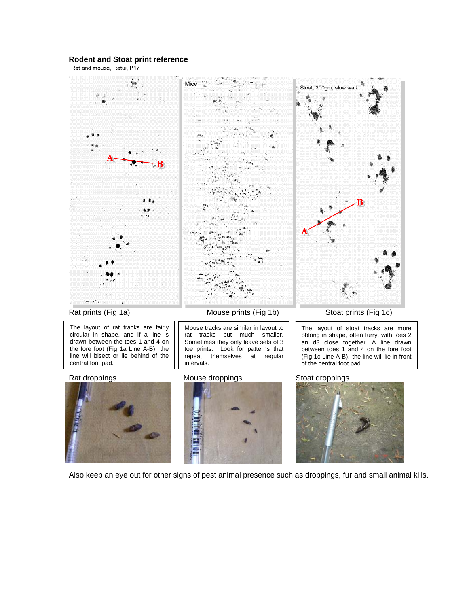## **Rodent and Stoat print reference**



Also keep an eye out for other signs of pest animal presence such as droppings, fur and small animal kills.